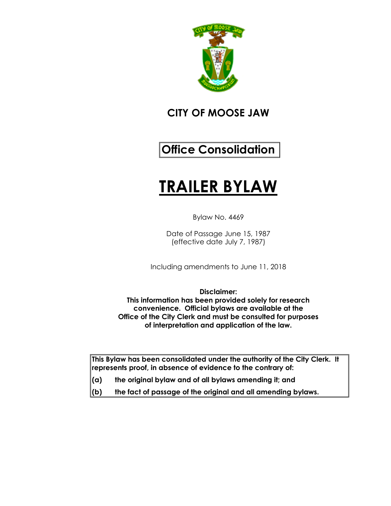

## **CITY OF MOOSE JAW**

# **Office Consolidation**

# **TRAILER BYLAW**

Bylaw No. 4469

Date of Passage June 15, 1987 (effective date July 7, 1987)

Including amendments to June 11, 2018

**Disclaimer: This information has been provided solely for research convenience. Official bylaws are available at the Office of the City Clerk and must be consulted for purposes of interpretation and application of the law.**

**This Bylaw has been consolidated under the authority of the City Clerk. It represents proof, in absence of evidence to the contrary of:** 

- **(a) the original bylaw and of all bylaws amending it; and**
- **(b) the fact of passage of the original and all amending bylaws.**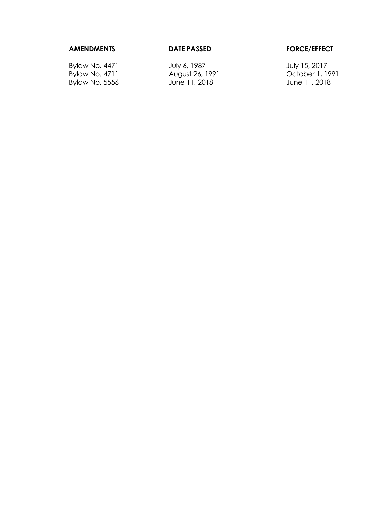## **AMENDMENTS DATE PASSED FORCE/EFFECT**

 $By$ law No. 5556

Bylaw No. 4471 July 6, 1987 July 15, 2017 August 26, 1991 **Carl Controller 1, 1991** October 1, 1991<br>
June 11, 2018 June 11, 2018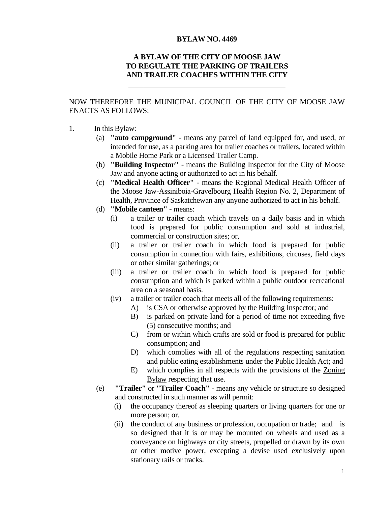### **BYLAW NO. 4469**

## **A BYLAW OF THE CITY OF MOOSE JAW TO REGULATE THE PARKING OF TRAILERS AND TRAILER COACHES WITHIN THE CITY**

\_\_\_\_\_\_\_\_\_\_\_\_\_\_\_\_\_\_\_\_\_\_\_\_\_\_\_\_\_\_\_\_\_\_\_\_\_\_\_\_\_\_

NOW THEREFORE THE MUNICIPAL COUNCIL OF THE CITY OF MOOSE JAW ENACTS AS FOLLOWS:

- 1. In this Bylaw:
	- (a) **"auto campground"** means any parcel of land equipped for, and used, or intended for use, as a parking area for trailer coaches or trailers, located within a Mobile Home Park or a Licensed Trailer Camp.
	- (b) **"Building Inspector"** means the Building Inspector for the City of Moose Jaw and anyone acting or authorized to act in his behalf.
	- (c) **"Medical Health Officer"** means the Regional Medical Health Officer of the Moose Jaw-Assiniboia-Gravelbourg Health Region No. 2, Department of Health, Province of Saskatchewan any anyone authorized to act in his behalf.
	- (d) **"Mobile canteen"** means:
		- (i) a trailer or trailer coach which travels on a daily basis and in which food is prepared for public consumption and sold at industrial, commercial or construction sites; or,
		- (ii) a trailer or trailer coach in which food is prepared for public consumption in connection with fairs, exhibitions, circuses, field days or other similar gatherings; or
		- (iii) a trailer or trailer coach in which food is prepared for public consumption and which is parked within a public outdoor recreational area on a seasonal basis.
		- (iv) a trailer or trailer coach that meets all of the following requirements:
			- A) is CSA or otherwise approved by the Building Inspector; and
			- B) is parked on private land for a period of time not exceeding five (5) consecutive months; and
			- C) from or within which crafts are sold or food is prepared for public consumption; and
			- D) which complies with all of the regulations respecting sanitation and public eating establishments under the Public Health Act; and
			- E) which complies in all respects with the provisions of the Zoning Bylaw respecting that use.
	- (e) **"Trailer"** or **"Trailer Coach"** means any vehicle or structure so designed and constructed in such manner as will permit:
		- (i) the occupancy thereof as sleeping quarters or living quarters for one or more person; or,
		- (ii) the conduct of any business or profession, occupation or trade; and is so designed that it is or may be mounted on wheels and used as a conveyance on highways or city streets, propelled or drawn by its own or other motive power, excepting a devise used exclusively upon stationary rails or tracks.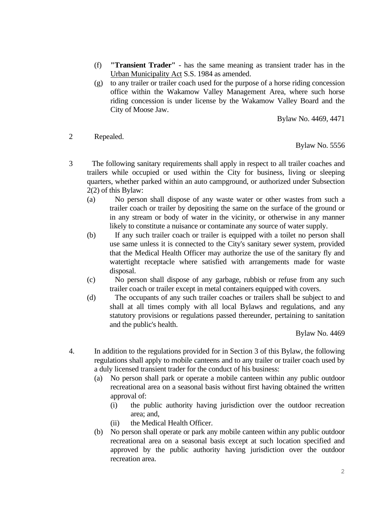- (f) **"Transient Trader"** has the same meaning as transient trader has in the Urban Municipality Act S.S. 1984 as amended.
- (g) to any trailer or trailer coach used for the purpose of a horse riding concession office within the Wakamow Valley Management Area, where such horse riding concession is under license by the Wakamow Valley Board and the City of Moose Jaw.

Bylaw No. 4469, 4471

2 Repealed.

Bylaw No. 5556

- 3 The following sanitary requirements shall apply in respect to all trailer coaches and trailers while occupied or used within the City for business, living or sleeping quarters, whether parked within an auto campground, or authorized under Subsection 2(2) of this Bylaw:
	- (a) No person shall dispose of any waste water or other wastes from such a trailer coach or trailer by depositing the same on the surface of the ground or in any stream or body of water in the vicinity, or otherwise in any manner likely to constitute a nuisance or contaminate any source of water supply.
	- (b) If any such trailer coach or trailer is equipped with a toilet no person shall use same unless it is connected to the City's sanitary sewer system, provided that the Medical Health Officer may authorize the use of the sanitary fly and watertight receptacle where satisfied with arrangements made for waste disposal.
	- (c) No person shall dispose of any garbage, rubbish or refuse from any such trailer coach or trailer except in metal containers equipped with covers.
	- (d) The occupants of any such trailer coaches or trailers shall be subject to and shall at all times comply with all local Bylaws and regulations, and any statutory provisions or regulations passed thereunder, pertaining to sanitation and the public's health.

Bylaw No. 4469

- 4. In addition to the regulations provided for in Section 3 of this Bylaw, the following regulations shall apply to mobile canteens and to any trailer or trailer coach used by a duly licensed transient trader for the conduct of his business:
	- (a) No person shall park or operate a mobile canteen within any public outdoor recreational area on a seasonal basis without first having obtained the written approval of:
		- (i) the public authority having jurisdiction over the outdoor recreation area; and,
		- (ii) the Medical Health Officer.
	- (b) No person shall operate or park any mobile canteen within any public outdoor recreational area on a seasonal basis except at such location specified and approved by the public authority having jurisdiction over the outdoor recreation area.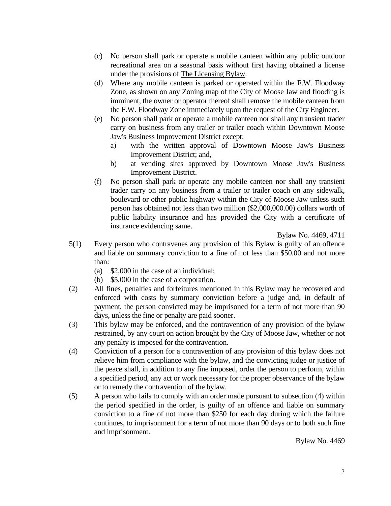- (c) No person shall park or operate a mobile canteen within any public outdoor recreational area on a seasonal basis without first having obtained a license under the provisions of The Licensing Bylaw.
- (d) Where any mobile canteen is parked or operated within the F.W. Floodway Zone, as shown on any Zoning map of the City of Moose Jaw and flooding is imminent, the owner or operator thereof shall remove the mobile canteen from the F.W. Floodway Zone immediately upon the request of the City Engineer.
- (e) No person shall park or operate a mobile canteen nor shall any transient trader carry on business from any trailer or trailer coach within Downtown Moose Jaw's Business Improvement District except:
	- a) with the written approval of Downtown Moose Jaw's Business Improvement District; and,
	- b) at vending sites approved by Downtown Moose Jaw's Business Improvement District.
- (f) No person shall park or operate any mobile canteen nor shall any transient trader carry on any business from a trailer or trailer coach on any sidewalk, boulevard or other public highway within the City of Moose Jaw unless such person has obtained not less than two million (\$2,000,000.00) dollars worth of public liability insurance and has provided the City with a certificate of insurance evidencing same.

Bylaw No. 4469, 4711

- 5(1) Every person who contravenes any provision of this Bylaw is guilty of an offence and liable on summary conviction to a fine of not less than \$50.00 and not more than:
	- (a) \$2,000 in the case of an individual;
	- (b) \$5,000 in the case of a corporation.
- (2) All fines, penalties and forfeitures mentioned in this Bylaw may be recovered and enforced with costs by summary conviction before a judge and, in default of payment, the person convicted may be imprisoned for a term of not more than 90 days, unless the fine or penalty are paid sooner.
- (3) This bylaw may be enforced, and the contravention of any provision of the bylaw restrained, by any court on action brought by the City of Moose Jaw, whether or not any penalty is imposed for the contravention.
- (4) Conviction of a person for a contravention of any provision of this bylaw does not relieve him from compliance with the bylaw, and the convicting judge or justice of the peace shall, in addition to any fine imposed, order the person to perform, within a specified period, any act or work necessary for the proper observance of the bylaw or to remedy the contravention of the bylaw.
- (5) A person who fails to comply with an order made pursuant to subsection (4) within the period specified in the order, is guilty of an offence and liable on summary conviction to a fine of not more than \$250 for each day during which the failure continues, to imprisonment for a term of not more than 90 days or to both such fine and imprisonment.

Bylaw No. 4469